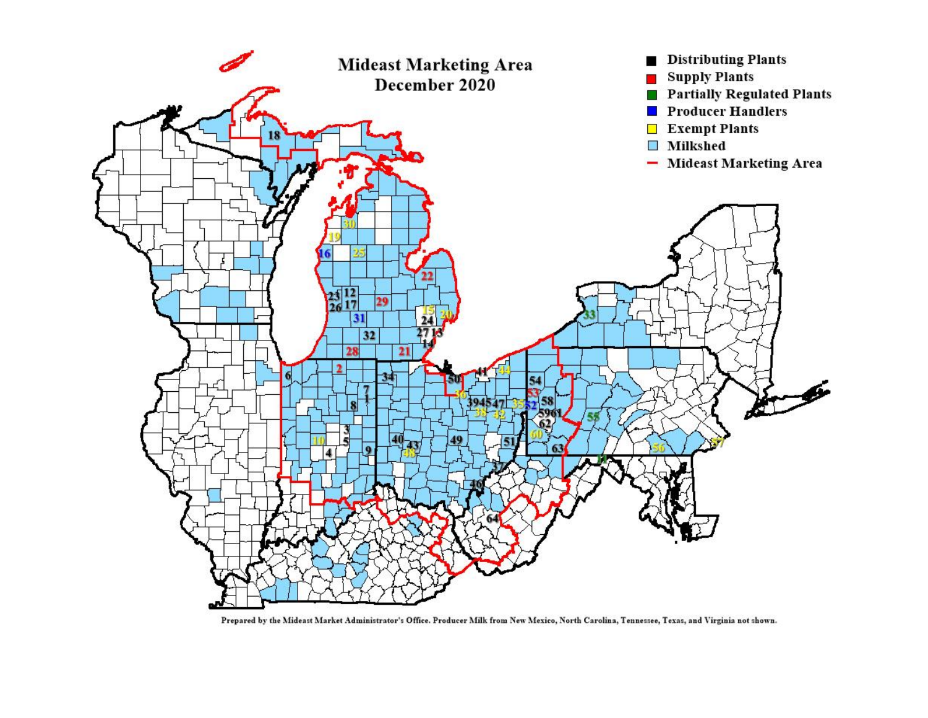

Prepared by the Mideast Market Administrator's Office. Producer Milk from New Mexico, North Carolina, Tennessee, Texas, and Virginia not shown.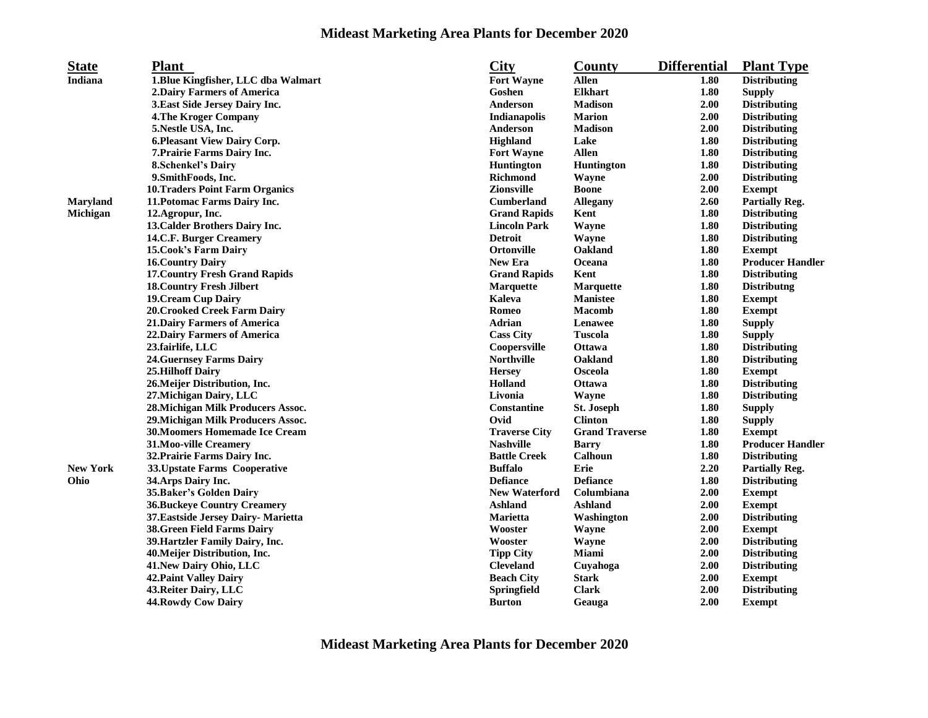## **Mideast Marketing Area Plants for December 2020**

| <b>State</b>    | <b>Plant</b>                           | <b>City</b>          | County                | <b>Differential</b> | <b>Plant Type</b>       |
|-----------------|----------------------------------------|----------------------|-----------------------|---------------------|-------------------------|
| Indiana         | 1.Blue Kingfisher, LLC dba Walmart     | <b>Fort Wayne</b>    | <b>Allen</b>          | 1.80                | <b>Distributing</b>     |
|                 | 2. Dairy Farmers of America            | Goshen               | <b>Elkhart</b>        | 1.80                | <b>Supply</b>           |
|                 | 3. East Side Jersey Dairy Inc.         | Anderson             | <b>Madison</b>        | 2.00                | <b>Distributing</b>     |
|                 | <b>4. The Kroger Company</b>           | Indianapolis         | <b>Marion</b>         | 2.00                | <b>Distributing</b>     |
|                 | 5. Nestle USA, Inc.                    | Anderson             | <b>Madison</b>        | 2.00                | <b>Distributing</b>     |
|                 | 6. Pleasant View Dairy Corp.           | <b>Highland</b>      | Lake                  | 1.80                | <b>Distributing</b>     |
|                 | 7. Prairie Farms Dairy Inc.            | <b>Fort Wayne</b>    | <b>Allen</b>          | 1.80                | <b>Distributing</b>     |
|                 | <b>8.Schenkel's Dairy</b>              | <b>Huntington</b>    | <b>Huntington</b>     | 1.80                | <b>Distributing</b>     |
|                 | 9. SmithFoods, Inc.                    | <b>Richmond</b>      | Wayne                 | 2.00                | <b>Distributing</b>     |
|                 | <b>10. Traders Point Farm Organics</b> | <b>Zionsville</b>    | <b>Boone</b>          | 2.00                | <b>Exempt</b>           |
| <b>Maryland</b> | 11. Potomac Farms Dairy Inc.           | <b>Cumberland</b>    | <b>Allegany</b>       | 2.60                | <b>Partially Reg.</b>   |
| Michigan        | 12.Agropur, Inc.                       | <b>Grand Rapids</b>  | Kent                  | 1.80                | <b>Distributing</b>     |
|                 | 13. Calder Brothers Dairy Inc.         | <b>Lincoln Park</b>  | Wayne                 | 1.80                | <b>Distributing</b>     |
|                 | 14.C.F. Burger Creamery                | <b>Detroit</b>       | Wayne                 | 1.80                | <b>Distributing</b>     |
|                 | 15. Cook's Farm Dairy                  | <b>Ortonville</b>    | Oakland               | 1.80                | <b>Exempt</b>           |
|                 | <b>16. Country Dairy</b>               | <b>New Era</b>       | Oceana                | 1.80                | <b>Producer Handler</b> |
|                 | <b>17. Country Fresh Grand Rapids</b>  | <b>Grand Rapids</b>  | Kent                  | 1.80                | <b>Distributing</b>     |
|                 | <b>18. Country Fresh Jilbert</b>       | <b>Marquette</b>     | <b>Marquette</b>      | 1.80                | <b>Distributng</b>      |
|                 | <b>19. Cream Cup Dairy</b>             | Kaleva               | <b>Manistee</b>       | 1.80                | <b>Exempt</b>           |
|                 | <b>20. Crooked Creek Farm Dairy</b>    | Romeo                | <b>Macomb</b>         | 1.80                | <b>Exempt</b>           |
|                 | 21. Dairy Farmers of America           | <b>Adrian</b>        | Lenawee               | 1.80                | <b>Supply</b>           |
|                 | 22. Dairy Farmers of America           | <b>Cass City</b>     | <b>Tuscola</b>        | 1.80                | <b>Supply</b>           |
|                 | 23.fairlife, LLC                       | Coopersville         | <b>Ottawa</b>         | 1.80                | <b>Distributing</b>     |
|                 | <b>24. Guernsey Farms Dairy</b>        | <b>Northville</b>    | Oakland               | 1.80                | <b>Distributing</b>     |
|                 | <b>25.Hilhoff Dairy</b>                | <b>Hersey</b>        | Osceola               | 1.80                | <b>Exempt</b>           |
|                 | 26. Meijer Distribution, Inc.          | Holland              | Ottawa                | 1.80                | <b>Distributing</b>     |
|                 | 27. Michigan Dairy, LLC                | Livonia              | Wayne                 | 1.80                | <b>Distributing</b>     |
|                 | 28. Michigan Milk Producers Assoc.     | Constantine          | St. Joseph            | 1.80                | <b>Supply</b>           |
|                 | 29. Michigan Milk Producers Assoc.     | Ovid                 | <b>Clinton</b>        | 1.80                | <b>Supply</b>           |
|                 | <b>30. Moomers Homemade Ice Cream</b>  | <b>Traverse City</b> | <b>Grand Traverse</b> | 1.80                | <b>Exempt</b>           |
|                 | 31. Moo-ville Creamery                 | <b>Nashville</b>     | <b>Barry</b>          | 1.80                | <b>Producer Handler</b> |
|                 | 32. Prairie Farms Dairy Inc.           | <b>Battle Creek</b>  | Calhoun               | 1.80                | <b>Distributing</b>     |
| <b>New York</b> | 33. Upstate Farms Cooperative          | <b>Buffalo</b>       | <b>Erie</b>           | 2.20                | <b>Partially Reg.</b>   |
| Ohio            | 34. Arps Dairy Inc.                    | <b>Defiance</b>      | <b>Defiance</b>       | 1.80                | <b>Distributing</b>     |
|                 | 35. Baker's Golden Dairy               | <b>New Waterford</b> | Columbiana            | 2.00                | <b>Exempt</b>           |
|                 | <b>36. Buckeye Country Creamery</b>    | <b>Ashland</b>       | <b>Ashland</b>        | 2.00                | <b>Exempt</b>           |
|                 | 37. Eastside Jersey Dairy- Marietta    | Marietta             | Washington            | 2.00                | <b>Distributing</b>     |
|                 | <b>38. Green Field Farms Dairy</b>     | Wooster              | Wayne                 | 2.00                | <b>Exempt</b>           |
|                 | 39. Hartzler Family Dairy, Inc.        | Wooster              | Wayne                 | 2.00                | <b>Distributing</b>     |
|                 | 40. Meijer Distribution, Inc.          | <b>Tipp City</b>     | Miami                 | 2.00                | <b>Distributing</b>     |
|                 | 41. New Dairy Ohio, LLC                | <b>Cleveland</b>     | Cuyahoga              | 2.00                | <b>Distributing</b>     |
|                 | <b>42. Paint Valley Dairy</b>          | <b>Beach City</b>    | <b>Stark</b>          | 2.00                | <b>Exempt</b>           |
|                 | 43. Reiter Dairy, LLC                  | <b>Springfield</b>   | <b>Clark</b>          | 2.00                | <b>Distributing</b>     |
|                 | 44. Rowdy Cow Dairy                    | <b>Burton</b>        | Geauga                | 2.00                | <b>Exempt</b>           |